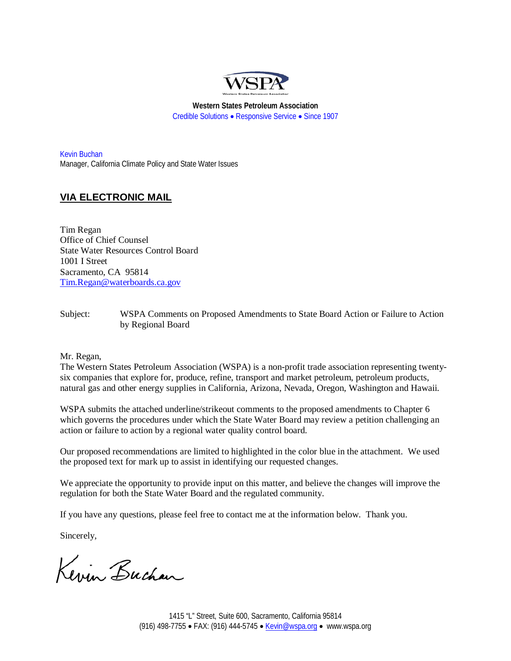

**Western States Petroleum Association** Credible Solutions • Responsive Service • Since 1907

Kevin Buchan Manager, California Climate Policy and State Water Issues

# **VIA ELECTRONIC MAIL**

Tim Regan Office of Chief Counsel State Water Resources Control Board 1001 I Street Sacramento, CA 95814 [Tim.Regan@waterboards.ca.gov](mailto:Tim.Regan@waterboards.ca.gov)

Subject: WSPA Comments on Proposed Amendments to State Board Action or Failure to Action by Regional Board

#### Mr. Regan,

The Western States Petroleum Association (WSPA) is a non-profit trade association representing twentysix companies that explore for, produce, refine, transport and market petroleum, petroleum products, natural gas and other energy supplies in California, Arizona, Nevada, Oregon, Washington and Hawaii.

WSPA submits the attached underline/strikeout comments to the proposed amendments to Chapter 6 which governs the procedures under which the State Water Board may review a petition challenging an action or failure to action by a regional water quality control board.

Our proposed recommendations are limited to highlighted in the color blue in the attachment. We used the proposed text for mark up to assist in identifying our requested changes.

We appreciate the opportunity to provide input on this matter, and believe the changes will improve the regulation for both the State Water Board and the regulated community.

If you have any questions, please feel free to contact me at the information below. Thank you.

Sincerely,

Kevin Buchan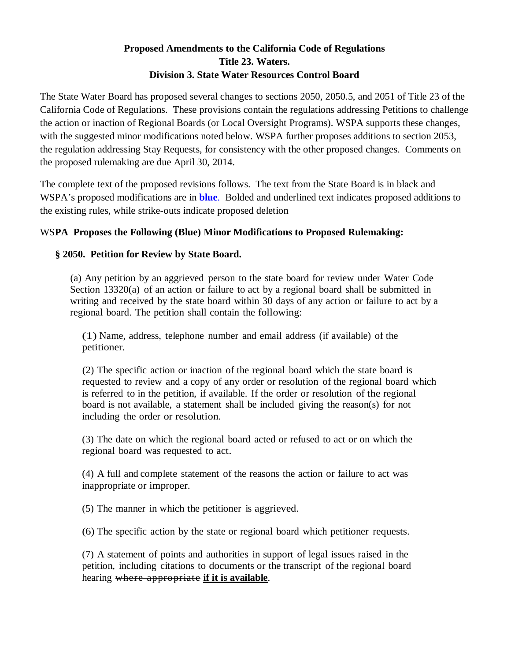# **Proposed Amendments to the California Code of Regulations Title 23. Waters. Division 3. State Water Resources Control Board**

The State Water Board has proposed several changes to sections 2050, 2050.5, and 2051 of Title 23 of the California Code of Regulations. These provisions contain the regulations addressing Petitions to challenge the action or inaction of Regional Boards (or Local Oversight Programs). WSPA supports these changes, with the suggested minor modifications noted below. WSPA further proposes additions to section 2053, the regulation addressing Stay Requests, for consistency with the other proposed changes. Comments on the proposed rulemaking are due April 30, 2014.

The complete text of the proposed revisions follows. The text from the State Board is in black and WSPA's proposed modifications are in **blue**. Bolded and underlined text indicates proposed additions to the existing rules, while strike-outs indicate proposed deletion

# WS**PA Proposes the Following (Blue) Minor Modifications to Proposed Rulemaking:**

### **§ 2050. Petition for Review by State Board.**

(a) Any petition by an aggrieved person to the state board for review under Water Code Section 13320(a) of an action or failure to act by a regional board shall be submitted in writing and received by the state board within 30 days of any action or failure to act by a regional board. The petition shall contain the following:

(1) Name, address, telephone number and email address (if available) of the petitioner.

(2) The specific action or inaction of the regional board which the state board is requested to review and a copy of any order or resolution of the regional board which is referred to in the petition, if available. If the order or resolution of the regional board is not available, a statement shall be included giving the reason(s) for not including the order or resolution.

(3) The date on which the regional board acted or refused to act or on which the regional board was requested to act.

(4) A full and complete statement of the reasons the action or failure to act was inappropriate or improper.

(5) The manner in which the petitioner is aggrieved.

(6) The specific action by the state or regional board which petitioner requests.

(7) A statement of points and authorities in support of legal issues raised in the petition, including citations to documents or the transcript of the regional board hearing where appropriate **if it is available**.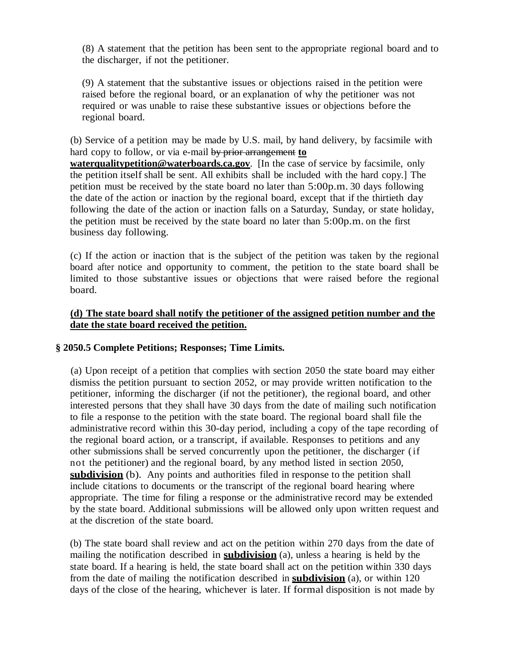(8) A statement that the petition has been sent to the appropriate regional board and to the discharger, if not the petitioner.

(9) A statement that the substantive issues or objections raised in the petition were raised before the regional board, or an explanation of why the petitioner was not required or was unable to raise these substantive issues or objections before the regional board.

(b) Service of a petition may be made by U.S. mail, by hand delivery, by facsimile with hard copy to follow, or via e-mail by prior arrangement **to** 

**waterqualitypetition@waterboards.ca.gov**. [In the case of service by facsimile, only the petition itself shall be sent. All exhibits shall be included with the hard copy.] The petition must be received by the state board no later than 5:00p.m. 30 days following the date of the action or inaction by the regional board, except that if the thirtieth day following the date of the action or inaction falls on a Saturday, Sunday, or state holiday, the petition must be received by the state board no later than 5:00p.m. on the first business day following.

(c) If the action or inaction that is the subject of the petition was taken by the regional board after notice and opportunity to comment, the petition to the state board shall be limited to those substantive issues or objections that were raised before the regional board.

### **(d) The state board shall notify the petitioner of the assigned petition number and the date the state board received the petition.**

#### **§ 2050.5 Complete Petitions; Responses; Time Limits.**

(a) Upon receipt of a petition that complies with section 2050 the state board may either dismiss the petition pursuant to section 2052, or may provide written notification to the petitioner, informing the discharger (if not the petitioner), the regional board, and other interested persons that they shall have 30 days from the date of mailing such notification to file a response to the petition with the state board. The regional board shall file the administrative record within this 30-day period, including a copy of the tape recording of the regional board action, or a transcript, if available. Responses to petitions and any other submissions shall be served concurrently upon the petitioner, the discharger (if not the petitioner) and the regional board, by any method listed in section 2050, **subdivision** (b). Any points and authorities filed in response to the petition shall include citations to documents or the transcript of the regional board hearing where appropriate. The time for filing a response or the administrative record may be extended by the state board. Additional submissions will be allowed only upon written request and at the discretion of the state board.

(b) The state board shall review and act on the petition within 270 days from the date of mailing the notification described in **subdivision** (a), unless a hearing is held by the state board. If a hearing is held, the state board shall act on the petition within 330 days from the date of mailing the notification described in **subdivision** (a), or within 120 days of the close of the hearing, whichever is later. If formal disposition is not made by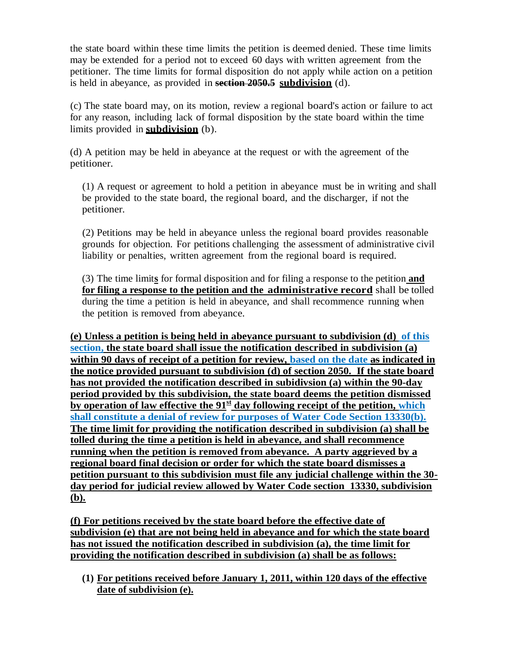the state board within these time limits the petition is deemed denied. These time limits may be extended for a period not to exceed 60 days with written agreement from the petitioner. The time limits for formal disposition do not apply while action on a petition is held in abeyance, as provided in **section 2050.5 subdivision** (d).

(c) The state board may, on its motion, review a regional board's action or failure to act for any reason, including lack of formal disposition by the state board within the time limits provided in **subdivision** (b).

(d) A petition may be held in abeyance at the request or with the agreement of the petitioner.

(1) A request or agreement to hold a petition in abeyance must be in writing and shall be provided to the state board, the regional board, and the discharger, if not the petitioner.

(2) Petitions may be held in abeyance unless the regional board provides reasonable grounds for objection. For petitions challenging the assessment of administrative civil liability or penalties, written agreement from the regional board is required.

(3) The time limit**s** for formal disposition and for filing a response to the petition **and for filing a response to the petition and the administrative record** shall be tolled during the time a petition is held in abeyance, and shall recommence running when the petition is removed from abeyance.

**(e) Unless a petition is being held in abeyance pursuant to subdivision (d) of this section, the state board shall issue the notification described in subdivision (a) within 90 days of receipt of a petition for review, based on the date as indicated in the notice provided pursuant to subdivision (d) of section 2050. If the state board has not provided the notification described in subidivsion (a) within the 90-day period provided by this subdivision, the state board deems the petition dismissed by operation of law effective the 91st day following receipt of the petition, which shall constitute a denial of review for purposes of Water Code Section 13330(b). The time limit for providing the notification described in subdivision (a) shall be tolled during the time a petition is held in abeyance, and shall recommence running when the petition is removed from abeyance. A party aggrieved by a regional board final decision or order for which the state board dismisses a petition pursuant to this subdivision must file any judicial challenge within the 30 day period for judicial review allowed by Water Code section 13330, subdivision (b).**

**(f) For petitions received by the state board before the effective date of subdivision (e) that are not being held in abeyance and for which the state board has not issued the notification described in subdivision (a), the time limit for providing the notification described in subdivision (a) shall be as follows:**

**(1) For petitions received before January 1, 2011, within 120 days of the effective date of subdivision (e).**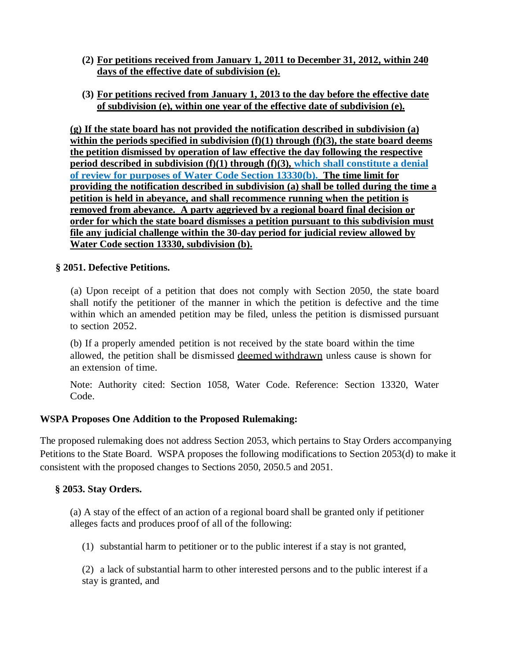- **(2) For petitions received from January 1, 2011 to December 31, 2012, within 240 days of the effective date of subdivision (e).**
- **(3) For petitions recived from January 1, 2013 to the day before the effective date of subdivision (e), within one year of the effective date of subdivision (e).**

**(g) If the state board has not provided the notification described in subdivision (a) within the periods specified in subdivision (f)(1) through (f)(3), the state board deems the petition dismissed by operation of law effective the day following the respective period described in subdivision (f)(1) through (f)(3), which shall constitute a denial of review for purposes of Water Code Section 13330(b). The time limit for providing the notification described in subdivision (a) shall be tolled during the time a petition is held in abeyance, and shall recommence running when the petition is removed from abeyance. A party aggrieved by a regional board final decision or order for which the state board dismisses a petition pursuant to this subdivision must file any judicial challenge within the 30-day period for judicial review allowed by Water Code section 13330, subdivision (b).**

# **§ 2051. Defective Petitions.**

(a) Upon receipt of a petition that does not comply with Section 2050, the state board shall notify the petitioner of the manner in which the petition is defective and the time within which an amended petition may be filed, unless the petition is dismissed pursuant to section 2052.

(b) If a properly amended petition is not received by the state board within the time allowed, the petition shall be dismissed deemed withdrawn unless cause is shown for an extension of time.

Note: Authority cited: Section 1058, Water Code. Reference: Section 13320, Water Code.

# **WSPA Proposes One Addition to the Proposed Rulemaking:**

The proposed rulemaking does not address Section 2053, which pertains to Stay Orders accompanying Petitions to the State Board. WSPA proposes the following modifications to Section 2053(d) to make it consistent with the proposed changes to Sections 2050, 2050.5 and 2051.

# **§ 2053. Stay Orders.**

(a) A stay of the effect of an action of a regional board shall be granted only if petitioner alleges facts and produces proof of all of the following:

(1) substantial harm to petitioner or to the public interest if a stay is not granted,

(2) a lack of substantial harm to other interested persons and to the public interest if a stay is granted, and